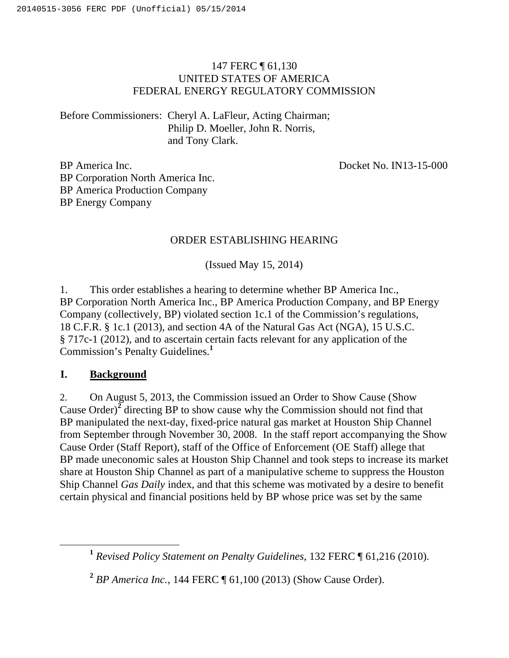# 147 FERC ¶ 61,130 UNITED STATES OF AMERICA FEDERAL ENERGY REGULATORY COMMISSION

Before Commissioners: Cheryl A. LaFleur, Acting Chairman; Philip D. Moeller, John R. Norris, and Tony Clark.

Docket No. IN13-15-000

BP America Inc. BP Corporation North America Inc. BP America Production Company BP Energy Company

# ORDER ESTABLISHING HEARING

(Issued May 15, 2014)

1. This order establishes a hearing to determine whether BP America Inc., BP Corporation North America Inc., BP America Production Company, and BP Energy Company (collectively, BP) violated section 1c.1 of the Commission's regulations, 18 C.F.R. § 1c.1 (2013), and section 4A of the Natural Gas Act (NGA), 15 U.S.C. § 717c-1 (2012), and to ascertain certain facts relevant for any application of the Commission's Penalty Guidelines.**<sup>1</sup>**

## **I. Background**

2. On August 5, 2013, the Commission issued an Order to Show Cause (Show Cause Order)**<sup>2</sup>** directing BP to show cause why the Commission should not find that BP manipulated the next-day, fixed-price natural gas market at Houston Ship Channel from September through November 30, 2008. In the staff report accompanying the Show Cause Order (Staff Report), staff of the Office of Enforcement (OE Staff) allege that BP made uneconomic sales at Houston Ship Channel and took steps to increase its market share at Houston Ship Channel as part of a manipulative scheme to suppress the Houston Ship Channel *Gas Daily* index, and that this scheme was motivated by a desire to benefit certain physical and financial positions held by BP whose price was set by the same

**<sup>1</sup>** *Revised Policy Statement on Penalty Guidelines*, 132 FERC ¶ 61,216 (2010).

**<sup>2</sup>** *BP America Inc.*, 144 FERC ¶ 61,100 (2013) (Show Cause Order).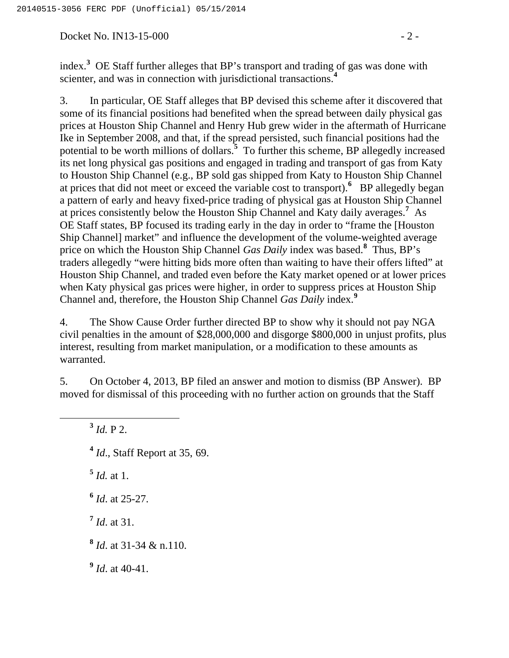Docket No. IN13-15-000 - 2 -

index.**<sup>3</sup>** OE Staff further alleges that BP's transport and trading of gas was done with scienter, and was in connection with jurisdictional transactions.**<sup>4</sup>**

3. In particular, OE Staff alleges that BP devised this scheme after it discovered that some of its financial positions had benefited when the spread between daily physical gas prices at Houston Ship Channel and Henry Hub grew wider in the aftermath of Hurricane Ike in September 2008, and that, if the spread persisted, such financial positions had the potential to be worth millions of dollars.**<sup>5</sup>** To further this scheme, BP allegedly increased its net long physical gas positions and engaged in trading and transport of gas from Katy to Houston Ship Channel (e.g., BP sold gas shipped from Katy to Houston Ship Channel at prices that did not meet or exceed the variable cost to transport). <sup>6</sup> BP allegedly began a pattern of early and heavy fixed-price trading of physical gas at Houston Ship Channel at prices consistently below the Houston Ship Channel and Katy daily averages.**<sup>7</sup>** As OE Staff states, BP focused its trading early in the day in order to "frame the [Houston Ship Channel] market" and influence the development of the volume-weighted average price on which the Houston Ship Channel *Gas Daily* index was based.**<sup>8</sup>** Thus, BP's traders allegedly "were hitting bids more often than waiting to have their offers lifted" at Houston Ship Channel, and traded even before the Katy market opened or at lower prices when Katy physical gas prices were higher, in order to suppress prices at Houston Ship Channel and, therefore, the Houston Ship Channel *Gas Daily* index.**<sup>9</sup>**

4. The Show Cause Order further directed BP to show why it should not pay NGA civil penalties in the amount of \$28,000,000 and disgorge \$800,000 in unjust profits, plus interest, resulting from market manipulation, or a modification to these amounts as warranted.

5. On October 4, 2013, BP filed an answer and motion to dismiss (BP Answer). BP moved for dismissal of this proceeding with no further action on grounds that the Staff

**<sup>3</sup>** *Id.* P 2.

**<sup>4</sup>** *Id*., Staff Report at 35, 69.

 $\frac{5}{1}$  *Id.* at 1.

**<sup>6</sup>** *Id*. at 25-27.

**<sup>7</sup>** *Id*. at 31.

**<sup>8</sup>** *Id*. at 31-34 & n.110.

**<sup>9</sup>** *Id*. at 40-41.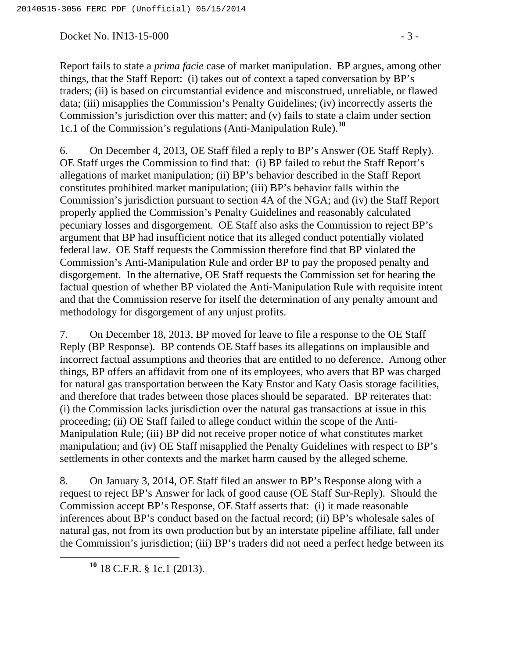Docket No. IN13-15-000 - 3 -

Report fails to state a *prima facie* case of market manipulation. BP argues, among other things, that the Staff Report: (i) takes out of context a taped conversation by BP's traders; (ii) is based on circumstantial evidence and misconstrued, unreliable, or flawed data; (iii) misapplies the Commission's Penalty Guidelines; (iv) incorrectly asserts the Commission's jurisdiction over this matter; and (v) fails to state a claim under section 1c.1 of the Commission's regulations (Anti-Manipulation Rule).**<sup>10</sup>**

6. On December 4, 2013, OE Staff filed a reply to BP's Answer (OE Staff Reply). OE Staff urges the Commission to find that: (i) BP failed to rebut the Staff Report's allegations of market manipulation; (ii) BP's behavior described in the Staff Report constitutes prohibited market manipulation; (iii) BP's behavior falls within the Commission's jurisdiction pursuant to section 4A of the NGA; and (iv) the Staff Report properly applied the Commission's Penalty Guidelines and reasonably calculated pecuniary losses and disgorgement. OE Staff also asks the Commission to reject BP's argument that BP had insufficient notice that its alleged conduct potentially violated federal law. OE Staff requests the Commission therefore find that BP violated the Commission's Anti-Manipulation Rule and order BP to pay the proposed penalty and disgorgement. In the alternative, OE Staff requests the Commission set for hearing the factual question of whether BP violated the Anti-Manipulation Rule with requisite intent and that the Commission reserve for itself the determination of any penalty amount and methodology for disgorgement of any unjust profits.

7. On December 18, 2013, BP moved for leave to file a response to the OE Staff Reply (BP Response). BP contends OE Staff bases its allegations on implausible and incorrect factual assumptions and theories that are entitled to no deference. Among other things, BP offers an affidavit from one of its employees, who avers that BP was charged for natural gas transportation between the Katy Enstor and Katy Oasis storage facilities, and therefore that trades between those places should be separated. BP reiterates that: (i) the Commission lacks jurisdiction over the natural gas transactions at issue in this proceeding; (ii) OE Staff failed to allege conduct within the scope of the Anti-Manipulation Rule; (iii) BP did not receive proper notice of what constitutes market manipulation; and (iv) OE Staff misapplied the Penalty Guidelines with respect to BP's settlements in other contexts and the market harm caused by the alleged scheme.

8. On January 3, 2014, OE Staff filed an answer to BP's Response along with a request to reject BP's Answer for lack of good cause (OE Staff Sur-Reply). Should the Commission accept BP's Response, OE Staff asserts that: (i) it made reasonable inferences about BP's conduct based on the factual record; (ii) BP's wholesale sales of natural gas, not from its own production but by an interstate pipeline affiliate, fall under the Commission's jurisdiction; (iii) BP's traders did not need a perfect hedge between its

**<sup>10</sup>** 18 C.F.R. § 1c.1 (2013).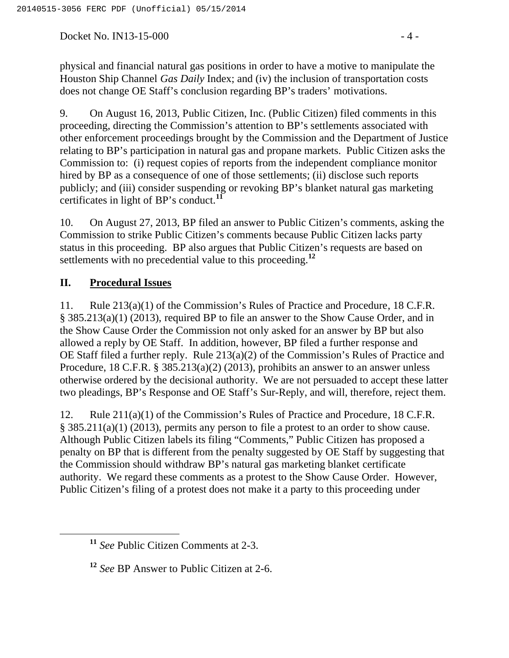Docket No. IN13-15-000 - 4 -

9. On August 16, 2013, Public Citizen, Inc. (Public Citizen) filed comments in this proceeding, directing the Commission's attention to BP's settlements associated with other enforcement proceedings brought by the Commission and the Department of Justice relating to BP's participation in natural gas and propane markets. Public Citizen asks the Commission to: (i) request copies of reports from the independent compliance monitor hired by BP as a consequence of one of those settlements; (ii) disclose such reports publicly; and (iii) consider suspending or revoking BP's blanket natural gas marketing certificates in light of BP's conduct.**<sup>11</sup>**

10. On August 27, 2013, BP filed an answer to Public Citizen's comments, asking the Commission to strike Public Citizen's comments because Public Citizen lacks party status in this proceeding. BP also argues that Public Citizen's requests are based on settlements with no precedential value to this proceeding.**<sup>12</sup>**

# **II. Procedural Issues**

11. Rule 213(a)(1) of the Commission's Rules of Practice and Procedure, 18 C.F.R. § 385.213(a)(1) (2013), required BP to file an answer to the Show Cause Order, and in the Show Cause Order the Commission not only asked for an answer by BP but also allowed a reply by OE Staff. In addition, however, BP filed a further response and OE Staff filed a further reply. Rule 213(a)(2) of the Commission's Rules of Practice and Procedure, 18 C.F.R. § 385.213(a)(2) (2013), prohibits an answer to an answer unless otherwise ordered by the decisional authority. We are not persuaded to accept these latter two pleadings, BP's Response and OE Staff's Sur-Reply, and will, therefore, reject them.

12. Rule 211(a)(1) of the Commission's Rules of Practice and Procedure, 18 C.F.R. § 385.211(a)(1) (2013), permits any person to file a protest to an order to show cause. Although Public Citizen labels its filing "Comments," Public Citizen has proposed a penalty on BP that is different from the penalty suggested by OE Staff by suggesting that the Commission should withdraw BP's natural gas marketing blanket certificate authority. We regard these comments as a protest to the Show Cause Order. However, Public Citizen's filing of a protest does not make it a party to this proceeding under

**<sup>11</sup>** *See* Public Citizen Comments at 2-3.

**<sup>12</sup>** *See* BP Answer to Public Citizen at 2-6.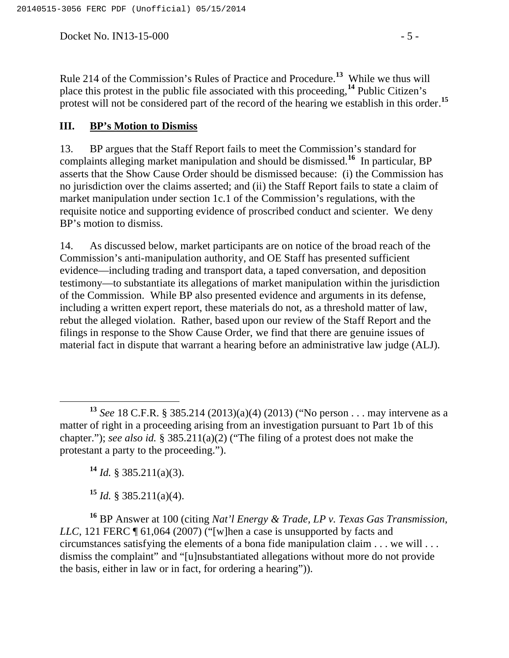Docket No. IN13-15-000 - 5 -

Rule 214 of the Commission's Rules of Practice and Procedure.**<sup>13</sup>** While we thus will place this protest in the public file associated with this proceeding,**<sup>14</sup>** Public Citizen's protest will not be considered part of the record of the hearing we establish in this order.**<sup>15</sup>**

### **III. BP's Motion to Dismiss**

13. BP argues that the Staff Report fails to meet the Commission's standard for complaints alleging market manipulation and should be dismissed.**<sup>16</sup>** In particular, BP asserts that the Show Cause Order should be dismissed because: (i) the Commission has no jurisdiction over the claims asserted; and (ii) the Staff Report fails to state a claim of market manipulation under section 1c.1 of the Commission's regulations, with the requisite notice and supporting evidence of proscribed conduct and scienter. We deny BP's motion to dismiss.

14. As discussed below, market participants are on notice of the broad reach of the Commission's anti-manipulation authority, and OE Staff has presented sufficient evidence—including trading and transport data, a taped conversation, and deposition testimony—to substantiate its allegations of market manipulation within the jurisdiction of the Commission. While BP also presented evidence and arguments in its defense, including a written expert report, these materials do not, as a threshold matter of law, rebut the alleged violation. Rather, based upon our review of the Staff Report and the filings in response to the Show Cause Order, we find that there are genuine issues of material fact in dispute that warrant a hearing before an administrative law judge (ALJ).

 $^{14}$  *Id.* § 385.211(a)(3).

 $15$  *Id.* § 385.211(a)(4).

**<sup>16</sup>** BP Answer at 100 (citing *Nat'l Energy & Trade, LP v. Texas Gas Transmission, LLC*, 121 FERC  $\P$  61,064 (2007) ("[w]hen a case is unsupported by facts and circumstances satisfying the elements of a bona fide manipulation claim . . . we will . . . dismiss the complaint" and "[u]nsubstantiated allegations without more do not provide the basis, either in law or in fact, for ordering a hearing")).

**<sup>13</sup>** *See* 18 C.F.R. § 385.214 (2013)(a)(4) (2013) ("No person . . . may intervene as a matter of right in a proceeding arising from an investigation pursuant to Part 1b of this chapter."); *see also id.* § 385.211(a)(2) ("The filing of a protest does not make the protestant a party to the proceeding.").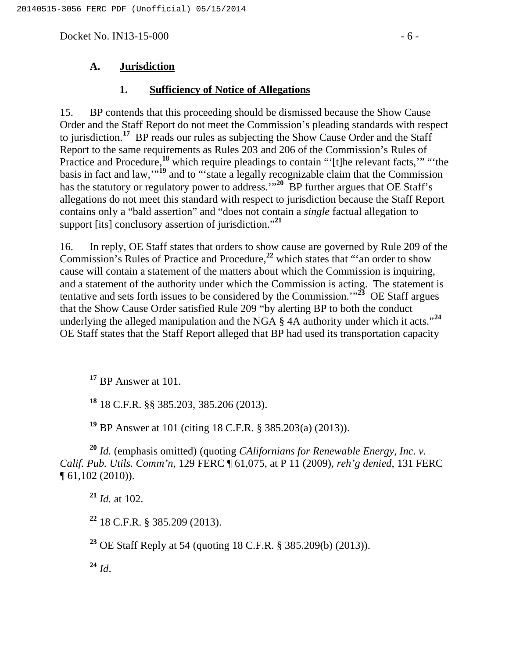Docket No. IN13-15-000 - 6 -

### **1. Sufficiency of Notice of Allegations**

15. BP contends that this proceeding should be dismissed because the Show Cause Order and the Staff Report do not meet the Commission's pleading standards with respect to jurisdiction.**<sup>17</sup>** BP reads our rules as subjecting the Show Cause Order and the Staff Report to the same requirements as Rules 203 and 206 of the Commission's Rules of Practice and Procedure,<sup>18</sup> which require pleadings to contain "'[t]he relevant facts,'" "the basis in fact and law,'"**<sup>19</sup>** and to "'state a legally recognizable claim that the Commission has the statutory or regulatory power to address.<sup>"20</sup> BP further argues that OE Staff's allegations do not meet this standard with respect to jurisdiction because the Staff Report contains only a "bald assertion" and "does not contain a *single* factual allegation to support [its] conclusory assertion of jurisdiction."**<sup>21</sup>**

16. In reply, OE Staff states that orders to show cause are governed by Rule 209 of the Commission's Rules of Practice and Procedure,**<sup>22</sup>** which states that "'an order to show cause will contain a statement of the matters about which the Commission is inquiring, and a statement of the authority under which the Commission is acting. The statement is tentative and sets forth issues to be considered by the Commission.<sup> $123$ </sup> OE Staff argues that the Show Cause Order satisfied Rule 209 "by alerting BP to both the conduct underlying the alleged manipulation and the NGA § 4A authority under which it acts."**<sup>24</sup>** OE Staff states that the Staff Report alleged that BP had used its transportation capacity

**<sup>17</sup>** BP Answer at 101.

**<sup>18</sup>** 18 C.F.R. §§ 385.203, 385.206 (2013).

**<sup>19</sup>** BP Answer at 101 (citing 18 C.F.R. § 385.203(a) (2013)).

**<sup>20</sup>** *Id.* (emphasis omitted) (quoting *CAlifornians for Renewable Energy, Inc. v. Calif. Pub. Utils. Comm'n*, 129 FERC ¶ 61,075, at P 11 (2009), *reh'g denied*, 131 FERC ¶ 61,102 (2010)).

**<sup>21</sup>** *Id.* at 102.

**<sup>22</sup>** 18 C.F.R. § 385.209 (2013).

**<sup>23</sup>** OE Staff Reply at 54 (quoting 18 C.F.R. § 385.209(b) (2013)).

**<sup>24</sup>** *Id*.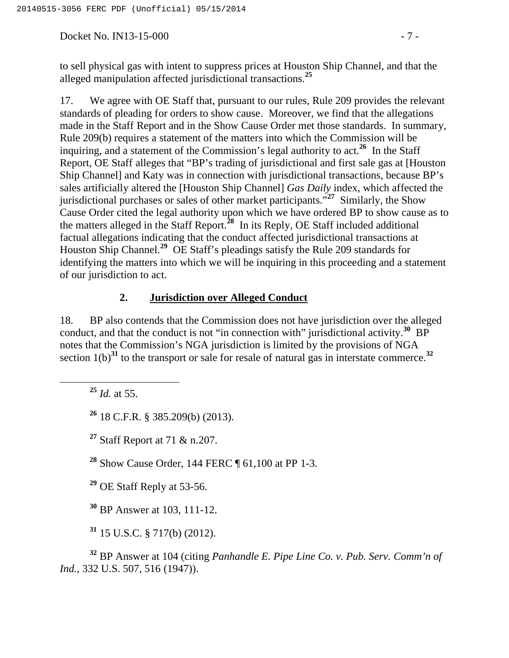Docket No. IN13-15-000 - 7 -

17. We agree with OE Staff that, pursuant to our rules, Rule 209 provides the relevant standards of pleading for orders to show cause. Moreover, we find that the allegations made in the Staff Report and in the Show Cause Order met those standards. In summary, Rule 209(b) requires a statement of the matters into which the Commission will be inquiring, and a statement of the Commission's legal authority to act.<sup>26</sup> In the Staff Report, OE Staff alleges that "BP's trading of jurisdictional and first sale gas at [Houston Ship Channel] and Katy was in connection with jurisdictional transactions, because BP's sales artificially altered the [Houston Ship Channel] *Gas Daily* index, which affected the jurisdictional purchases or sales of other market participants."**<sup>27</sup>** Similarly, the Show Cause Order cited the legal authority upon which we have ordered BP to show cause as to the matters alleged in the Staff Report.**<sup>28</sup>** In its Reply, OE Staff included additional factual allegations indicating that the conduct affected jurisdictional transactions at Houston Ship Channel.**<sup>29</sup>** OE Staff's pleadings satisfy the Rule 209 standards for identifying the matters into which we will be inquiring in this proceeding and a statement of our jurisdiction to act.

# **2. Jurisdiction over Alleged Conduct**

18. BP also contends that the Commission does not have jurisdiction over the alleged conduct, and that the conduct is not "in connection with" jurisdictional activity.**<sup>30</sup>** BP notes that the Commission's NGA jurisdiction is limited by the provisions of NGA section  $1(b)^{31}$  to the transport or sale for resale of natural gas in interstate commerce.<sup>32</sup>

**<sup>25</sup>** *Id.* at 55.

**<sup>26</sup>** 18 C.F.R. § 385.209(b) (2013).

**<sup>27</sup>** Staff Report at 71 & n.207.

**<sup>28</sup>** Show Cause Order, 144 FERC ¶ 61,100 at PP 1-3.

**<sup>29</sup>** OE Staff Reply at 53-56.

**<sup>30</sup>** BP Answer at 103, 111-12.

**<sup>31</sup>** 15 U.S.C. § 717(b) (2012).

**<sup>32</sup>** BP Answer at 104 (citing *Panhandle E. Pipe Line Co. v. Pub. Serv. Comm'n of Ind.*, 332 U.S. 507, 516 (1947)).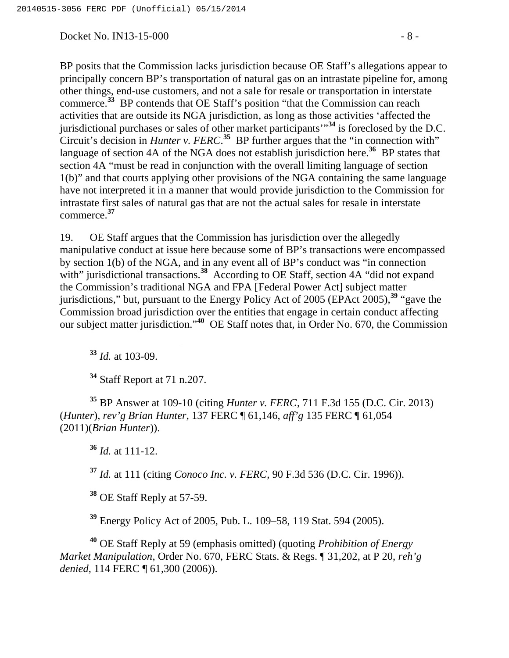Docket No. IN13-15-000 - 8 -

BP posits that the Commission lacks jurisdiction because OE Staff's allegations appear to principally concern BP's transportation of natural gas on an intrastate pipeline for, among other things, end-use customers, and not a sale for resale or transportation in interstate commerce.**<sup>33</sup>** BP contends that OE Staff's position "that the Commission can reach activities that are outside its NGA jurisdiction, as long as those activities 'affected the jurisdictional purchases or sales of other market participants'"**<sup>34</sup>** is foreclosed by the D.C. Circuit's decision in *Hunter v. FERC*.<sup>35</sup> BP further argues that the "in connection with" language of section 4A of the NGA does not establish jurisdiction here.<sup>36</sup> BP states that section 4A "must be read in conjunction with the overall limiting language of section 1(b)" and that courts applying other provisions of the NGA containing the same language have not interpreted it in a manner that would provide jurisdiction to the Commission for intrastate first sales of natural gas that are not the actual sales for resale in interstate commerce.**<sup>37</sup>**

19. OE Staff argues that the Commission has jurisdiction over the allegedly manipulative conduct at issue here because some of BP's transactions were encompassed by section 1(b) of the NGA, and in any event all of BP's conduct was "in connection with" jurisdictional transactions.<sup>38</sup> According to OE Staff, section 4A "did not expand the Commission's traditional NGA and FPA [Federal Power Act] subject matter jurisdictions," but, pursuant to the Energy Policy Act of 2005 (EPAct 2005),**<sup>39</sup>** "gave the Commission broad jurisdiction over the entities that engage in certain conduct affecting our subject matter jurisdiction."**<sup>40</sup>** OE Staff notes that, in Order No. 670, the Commission

**<sup>33</sup>** *Id.* at 103-09.

**<sup>34</sup>** Staff Report at 71 n.207.

**<sup>35</sup>** BP Answer at 109-10 (citing *Hunter v. FERC*, 711 F.3d 155 (D.C. Cir. 2013) (*Hunter*), *rev'g Brian Hunter*, 137 FERC ¶ 61,146, *aff'g* 135 FERC ¶ 61,054 (2011)(*Brian Hunter*)).

**<sup>36</sup>** *Id.* at 111-12.

**<sup>37</sup>** *Id.* at 111 (citing *Conoco Inc. v. FERC*, 90 F.3d 536 (D.C. Cir. 1996)).

**<sup>38</sup>** OE Staff Reply at 57-59.

**<sup>39</sup>** Energy Policy Act of 2005, Pub. L. 109–58, 119 Stat. 594 (2005).

**<sup>40</sup>** OE Staff Reply at 59 (emphasis omitted) (quoting *Prohibition of Energy Market Manipulation*, Order No. 670, FERC Stats. & Regs. ¶ 31,202, at P 20, *reh'g denied*, 114 FERC  $\sqrt{61,300}$  (2006)).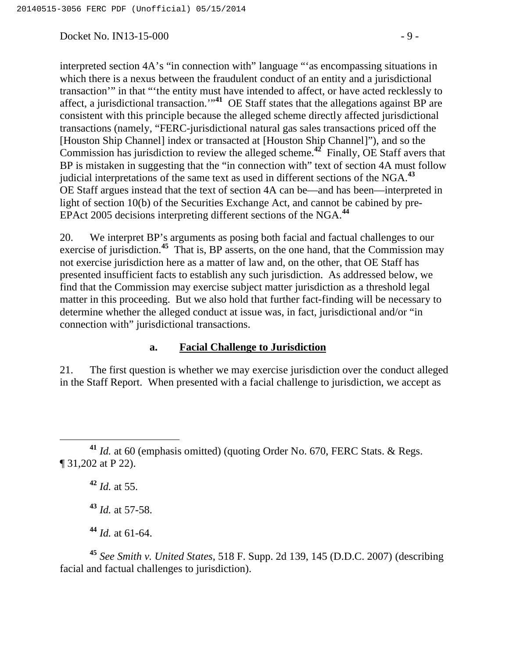Docket No. IN13-15-000 - 9 -

interpreted section 4A's "in connection with" language "'as encompassing situations in which there is a nexus between the fraudulent conduct of an entity and a jurisdictional transaction'" in that "'the entity must have intended to affect, or have acted recklessly to affect, a jurisdictional transaction.'"**<sup>41</sup>** OE Staff states that the allegations against BP are consistent with this principle because the alleged scheme directly affected jurisdictional transactions (namely, "FERC-jurisdictional natural gas sales transactions priced off the [Houston Ship Channel] index or transacted at [Houston Ship Channel]"), and so the Commission has jurisdiction to review the alleged scheme.**<sup>42</sup>** Finally, OE Staff avers that BP is mistaken in suggesting that the "in connection with" text of section 4A must follow judicial interpretations of the same text as used in different sections of the NGA.**<sup>43</sup>** OE Staff argues instead that the text of section 4A can be—and has been—interpreted in light of section 10(b) of the Securities Exchange Act, and cannot be cabined by pre-EPAct 2005 decisions interpreting different sections of the NGA.**<sup>44</sup>**

20. We interpret BP's arguments as posing both facial and factual challenges to our exercise of jurisdiction.**<sup>45</sup>** That is, BP asserts, on the one hand, that the Commission may not exercise jurisdiction here as a matter of law and, on the other, that OE Staff has presented insufficient facts to establish any such jurisdiction. As addressed below, we find that the Commission may exercise subject matter jurisdiction as a threshold legal matter in this proceeding. But we also hold that further fact-finding will be necessary to determine whether the alleged conduct at issue was, in fact, jurisdictional and/or "in connection with" jurisdictional transactions.

### **a. Facial Challenge to Jurisdiction**

21. The first question is whether we may exercise jurisdiction over the conduct alleged in the Staff Report. When presented with a facial challenge to jurisdiction, we accept as

**<sup>42</sup>** *Id.* at 55.

**<sup>43</sup>** *Id.* at 57-58.

**<sup>44</sup>** *Id.* at 61-64.

**<sup>45</sup>** *See Smith v. United States*, 518 F. Supp. 2d 139, 145 (D.D.C. 2007) (describing facial and factual challenges to jurisdiction).

**<sup>41</sup>** *Id.* at 60 (emphasis omitted) (quoting Order No. 670, FERC Stats. & Regs. ¶ 31,202 at P 22).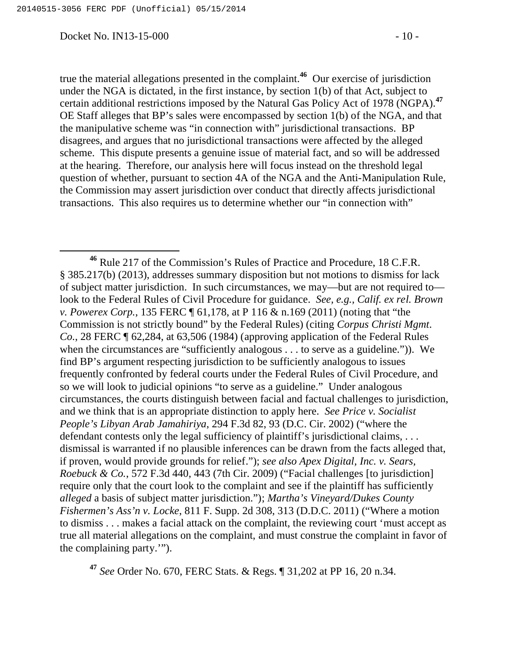Docket No. IN13-15-000 - 10 -

OE Staff alleges that BP's sales were encompassed by section 1(b) of the NGA, and that the manipulative scheme was "in connection with" jurisdictional transactions. BP disagrees, and argues that no jurisdictional transactions were affected by the alleged scheme. This dispute presents a genuine issue of material fact, and so will be addressed at the hearing. Therefore, our analysis here will focus instead on the threshold legal question of whether, pursuant to section 4A of the NGA and the Anti-Manipulation Rule, the Commission may assert jurisdiction over conduct that directly affects jurisdictional transactions. This also requires us to determine whether our "in connection with"

**<sup>47</sup>** *See* Order No. 670, FERC Stats. & Regs. ¶ 31,202 at PP 16, 20 n.34.

**<sup>46</sup>** Rule 217 of the Commission's Rules of Practice and Procedure, 18 C.F.R. § 385.217(b) (2013), addresses summary disposition but not motions to dismiss for lack of subject matter jurisdiction. In such circumstances, we may—but are not required to look to the Federal Rules of Civil Procedure for guidance. *See, e.g., Calif. ex rel. Brown v. Powerex Corp.*, 135 FERC ¶ 61,178, at P 116 & n.169 (2011) (noting that "the Commission is not strictly bound" by the Federal Rules) (citing *Corpus Christi Mgmt. Co.*, 28 FERC ¶ 62,284, at 63,506 (1984) (approving application of the Federal Rules when the circumstances are "sufficiently analogous . . . to serve as a guideline."). We find BP's argument respecting jurisdiction to be sufficiently analogous to issues frequently confronted by federal courts under the Federal Rules of Civil Procedure, and so we will look to judicial opinions "to serve as a guideline." Under analogous circumstances, the courts distinguish between facial and factual challenges to jurisdiction, and we think that is an appropriate distinction to apply here. *See Price v. Socialist People's Libyan Arab Jamahiriya*, 294 F.3d 82, 93 (D.C. Cir. 2002) ("where the defendant contests only the legal sufficiency of plaintiff's jurisdictional claims, ... dismissal is warranted if no plausible inferences can be drawn from the facts alleged that, if proven, would provide grounds for relief."); *see also Apex Digital, Inc. v. Sears, Roebuck & Co.*, 572 F.3d 440, 443 (7th Cir. 2009) ("Facial challenges [to jurisdiction] require only that the court look to the complaint and see if the plaintiff has sufficiently *alleged* a basis of subject matter jurisdiction."); *Martha's Vineyard/Dukes County Fishermen's Ass'n v. Locke*, 811 F. Supp. 2d 308, 313 (D.D.C. 2011) ("Where a motion to dismiss . . . makes a facial attack on the complaint, the reviewing court 'must accept as true all material allegations on the complaint, and must construe the complaint in favor of the complaining party.'").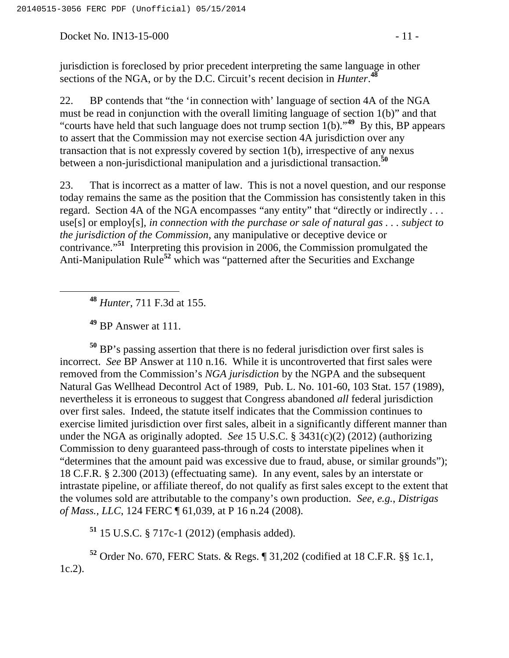Docket No. IN13-15-000 - 11 -

jurisdiction is foreclosed by prior precedent interpreting the same language in other sections of the NGA, or by the D.C. Circuit's recent decision in *Hunter*. **48**

22. BP contends that "the 'in connection with' language of section 4A of the NGA must be read in conjunction with the overall limiting language of section 1(b)" and that "courts have held that such language does not trump section 1(b)."**<sup>49</sup>** By this, BP appears to assert that the Commission may not exercise section 4A jurisdiction over any transaction that is not expressly covered by section 1(b), irrespective of any nexus between a non-jurisdictional manipulation and a jurisdictional transaction.**<sup>50</sup>**

23. That is incorrect as a matter of law. This is not a novel question, and our response today remains the same as the position that the Commission has consistently taken in this regard. Section 4A of the NGA encompasses "any entity" that "directly or indirectly . . . use[s] or employ[s], *in connection with the purchase or sale of natural gas . . . subject to the jurisdiction of the Commission*, any manipulative or deceptive device or contrivance."**<sup>51</sup>** Interpreting this provision in 2006, the Commission promulgated the Anti-Manipulation Rule**<sup>52</sup>** which was "patterned after the Securities and Exchange

**<sup>48</sup>** *Hunter*, 711 F.3d at 155.

**<sup>49</sup>** BP Answer at 111.

**<sup>50</sup>** BP's passing assertion that there is no federal jurisdiction over first sales is incorrect. *See* BP Answer at 110 n.16. While it is uncontroverted that first sales were removed from the Commission's *NGA jurisdiction* by the NGPA and the subsequent Natural Gas Wellhead Decontrol Act of 1989, Pub. L. No. 101-60, 103 Stat. 157 (1989), nevertheless it is erroneous to suggest that Congress abandoned *all* federal jurisdiction over first sales. Indeed, the statute itself indicates that the Commission continues to exercise limited jurisdiction over first sales, albeit in a significantly different manner than under the NGA as originally adopted. *See* 15 U.S.C. § 3431(c)(2) (2012) (authorizing Commission to deny guaranteed pass-through of costs to interstate pipelines when it "determines that the amount paid was excessive due to fraud, abuse, or similar grounds"); 18 C.F.R. § 2.300 (2013) (effectuating same). In any event, sales by an interstate or intrastate pipeline, or affiliate thereof, do not qualify as first sales except to the extent that the volumes sold are attributable to the company's own production. *See, e.g.*, *Distrigas of Mass., LLC*, 124 FERC ¶ 61,039, at P 16 n.24 (2008).

**<sup>51</sup>** 15 U.S.C. § 717c-1 (2012) (emphasis added).

**<sup>52</sup>** Order No. 670, FERC Stats. & Regs. ¶ 31,202 (codified at 18 C.F.R. §§ 1c.1, 1c.2).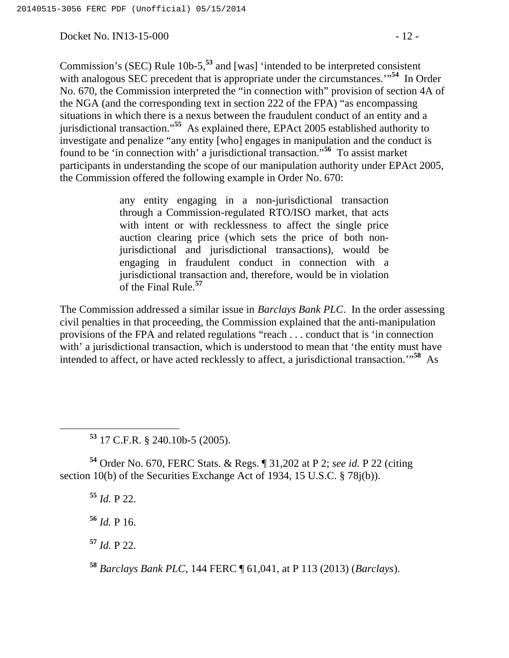Docket No. IN13-15-000 - 12 -

Commission's (SEC) Rule 10b-5,**<sup>53</sup>** and [was] 'intended to be interpreted consistent with analogous SEC precedent that is appropriate under the circumstances.<sup>"54</sup> In Order No. 670, the Commission interpreted the "in connection with" provision of section 4A of the NGA (and the corresponding text in section 222 of the FPA) "as encompassing situations in which there is a nexus between the fraudulent conduct of an entity and a jurisdictional transaction."**<sup>55</sup>** As explained there, EPAct 2005 established authority to investigate and penalize "any entity [who] engages in manipulation and the conduct is found to be 'in connection with' a jurisdictional transaction."**<sup>56</sup>** To assist market participants in understanding the scope of our manipulation authority under EPAct 2005, the Commission offered the following example in Order No. 670:

> any entity engaging in a non-jurisdictional transaction through a Commission-regulated RTO/ISO market, that acts with intent or with recklessness to affect the single price auction clearing price (which sets the price of both nonjurisdictional and jurisdictional transactions), would be engaging in fraudulent conduct in connection with a jurisdictional transaction and, therefore, would be in violation of the Final Rule.**<sup>57</sup>**

The Commission addressed a similar issue in *Barclays Bank PLC*. In the order assessing civil penalties in that proceeding, the Commission explained that the anti-manipulation provisions of the FPA and related regulations "reach . . . conduct that is 'in connection with' a jurisdictional transaction, which is understood to mean that 'the entity must have intended to affect, or have acted recklessly to affect, a jurisdictional transaction.'"**<sup>58</sup>** As

**<sup>53</sup>** 17 C.F.R. § 240.10b-5 (2005).

**<sup>54</sup>** Order No. 670, FERC Stats. & Regs. ¶ 31,202 at P 2; *see id.* P 22 (citing section 10(b) of the Securities Exchange Act of 1934, 15 U.S.C. § 78j(b)).

**<sup>55</sup>** *Id.* P 22.

**<sup>56</sup>** *Id.* P 16.

**<sup>57</sup>** *Id.* P 22.

**<sup>58</sup>** *Barclays Bank PLC*, 144 FERC ¶ 61,041, at P 113 (2013) (*Barclays*).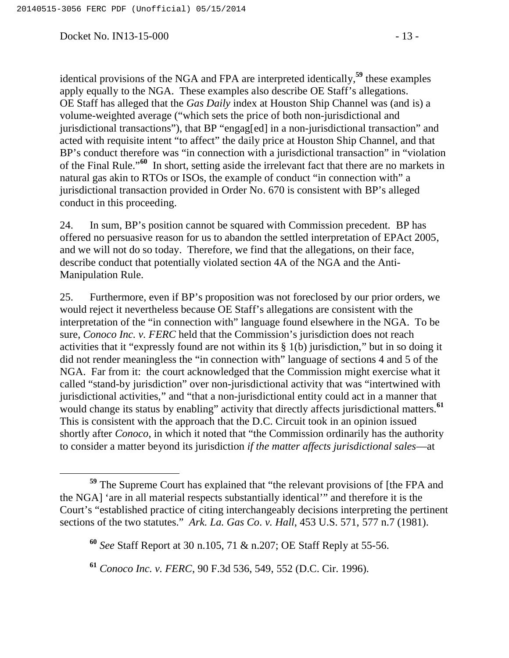Docket No. IN13-15-000 - 13 -

identical provisions of the NGA and FPA are interpreted identically,**<sup>59</sup>** these examples apply equally to the NGA. These examples also describe OE Staff's allegations. OE Staff has alleged that the *Gas Daily* index at Houston Ship Channel was (and is) a volume-weighted average ("which sets the price of both non-jurisdictional and jurisdictional transactions"), that BP "engag[ed] in a non-jurisdictional transaction" and acted with requisite intent "to affect" the daily price at Houston Ship Channel, and that BP's conduct therefore was "in connection with a jurisdictional transaction" in "violation of the Final Rule."**<sup>60</sup>** In short, setting aside the irrelevant fact that there are no markets in natural gas akin to RTOs or ISOs, the example of conduct "in connection with" a jurisdictional transaction provided in Order No. 670 is consistent with BP's alleged conduct in this proceeding.

24. In sum, BP's position cannot be squared with Commission precedent. BP has offered no persuasive reason for us to abandon the settled interpretation of EPAct 2005, and we will not do so today. Therefore, we find that the allegations, on their face, describe conduct that potentially violated section 4A of the NGA and the Anti-Manipulation Rule.

25. Furthermore, even if BP's proposition was not foreclosed by our prior orders, we would reject it nevertheless because OE Staff's allegations are consistent with the interpretation of the "in connection with" language found elsewhere in the NGA. To be sure, *Conoco Inc. v. FERC* held that the Commission's jurisdiction does not reach activities that it "expressly found are not within its § 1(b) jurisdiction," but in so doing it did not render meaningless the "in connection with" language of sections 4 and 5 of the NGA. Far from it: the court acknowledged that the Commission might exercise what it called "stand-by jurisdiction" over non-jurisdictional activity that was "intertwined with jurisdictional activities," and "that a non-jurisdictional entity could act in a manner that would change its status by enabling" activity that directly affects jurisdictional matters.<sup>61</sup> This is consistent with the approach that the D.C. Circuit took in an opinion issued shortly after *Conoco*, in which it noted that "the Commission ordinarily has the authority to consider a matter beyond its jurisdiction *if the matter affects jurisdictional sales*—at

**<sup>59</sup>** The Supreme Court has explained that "the relevant provisions of [the FPA and the NGA] 'are in all material respects substantially identical'" and therefore it is the Court's "established practice of citing interchangeably decisions interpreting the pertinent sections of the two statutes." *Ark. La. Gas Co. v. Hall*, 453 U.S. 571, 577 n.7 (1981).

**<sup>60</sup>** *See* Staff Report at 30 n.105, 71 & n.207; OE Staff Reply at 55-56.

**<sup>61</sup>** *Conoco Inc. v. FERC*, 90 F.3d 536, 549, 552 (D.C. Cir. 1996).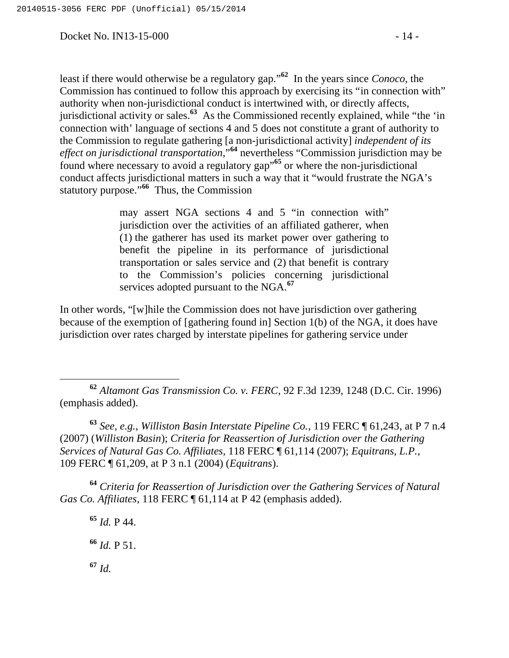Docket No. IN13-15-000 - 14 -

least if there would otherwise be a regulatory gap."**<sup>62</sup>** In the years since *Conoco*, the Commission has continued to follow this approach by exercising its "in connection with" authority when non-jurisdictional conduct is intertwined with, or directly affects, jurisdictional activity or sales.**<sup>63</sup>** As the Commissioned recently explained, while "the 'in connection with' language of sections 4 and 5 does not constitute a grant of authority to the Commission to regulate gathering [a non-jurisdictional activity] *independent of its effect on jurisdictional transportation*,"**<sup>64</sup>** nevertheless "Commission jurisdiction may be found where necessary to avoid a regulatory gap"**<sup>65</sup>** or where the non-jurisdictional conduct affects jurisdictional matters in such a way that it "would frustrate the NGA's statutory purpose."**<sup>66</sup>** Thus, the Commission

> may assert NGA sections 4 and 5 "in connection with" jurisdiction over the activities of an affiliated gatherer, when (1) the gatherer has used its market power over gathering to benefit the pipeline in its performance of jurisdictional transportation or sales service and (2) that benefit is contrary to the Commission's policies concerning jurisdictional services adopted pursuant to the NGA.**<sup>67</sup>**

In other words, "[w]hile the Commission does not have jurisdiction over gathering because of the exemption of [gathering found in] Section 1(b) of the NGA, it does have jurisdiction over rates charged by interstate pipelines for gathering service under

 **<sup>62</sup>** *Altamont Gas Transmission Co. v. FERC*, 92 F.3d 1239, 1248 (D.C. Cir. 1996) (emphasis added).

**<sup>63</sup>** *See, e.g.*, *Williston Basin Interstate Pipeline Co.*, 119 FERC ¶ 61,243, at P 7 n.4 (2007) (*Williston Basin*); *Criteria for Reassertion of Jurisdiction over the Gathering Services of Natural Gas Co. Affiliates*, 118 FERC ¶ 61,114 (2007); *Equitrans, L.P.*, 109 FERC ¶ 61,209, at P 3 n.1 (2004) (*Equitrans*).

**<sup>64</sup>** *Criteria for Reassertion of Jurisdiction over the Gathering Services of Natural Gas Co. Affiliates*, 118 FERC ¶ 61,114 at P 42 (emphasis added).

**<sup>65</sup>** *Id.* P 44. **<sup>66</sup>** *Id.* P 51. **<sup>67</sup>** *Id.*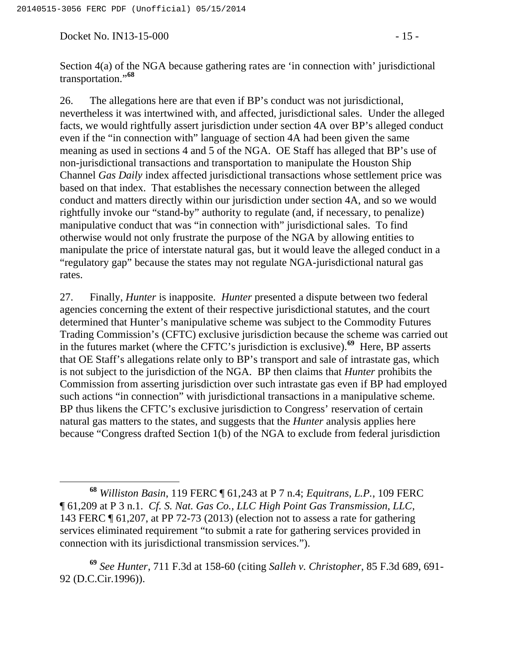Docket No. IN13-15-000 - 15 -

Section 4(a) of the NGA because gathering rates are 'in connection with' jurisdictional transportation."**<sup>68</sup>**

26. The allegations here are that even if BP's conduct was not jurisdictional, nevertheless it was intertwined with, and affected, jurisdictional sales. Under the alleged facts, we would rightfully assert jurisdiction under section 4A over BP's alleged conduct even if the "in connection with" language of section 4A had been given the same meaning as used in sections 4 and 5 of the NGA. OE Staff has alleged that BP's use of non-jurisdictional transactions and transportation to manipulate the Houston Ship Channel *Gas Daily* index affected jurisdictional transactions whose settlement price was based on that index. That establishes the necessary connection between the alleged conduct and matters directly within our jurisdiction under section 4A, and so we would rightfully invoke our "stand-by" authority to regulate (and, if necessary, to penalize) manipulative conduct that was "in connection with" jurisdictional sales. To find otherwise would not only frustrate the purpose of the NGA by allowing entities to manipulate the price of interstate natural gas, but it would leave the alleged conduct in a "regulatory gap" because the states may not regulate NGA-jurisdictional natural gas rates.

27. Finally, *Hunter* is inapposite. *Hunter* presented a dispute between two federal agencies concerning the extent of their respective jurisdictional statutes, and the court determined that Hunter's manipulative scheme was subject to the Commodity Futures Trading Commission's (CFTC) exclusive jurisdiction because the scheme was carried out in the futures market (where the CFTC's jurisdiction is exclusive).**<sup>69</sup>** Here, BP asserts that OE Staff's allegations relate only to BP's transport and sale of intrastate gas, which is not subject to the jurisdiction of the NGA. BP then claims that *Hunter* prohibits the Commission from asserting jurisdiction over such intrastate gas even if BP had employed such actions "in connection" with jurisdictional transactions in a manipulative scheme. BP thus likens the CFTC's exclusive jurisdiction to Congress' reservation of certain natural gas matters to the states, and suggests that the *Hunter* analysis applies here because "Congress drafted Section 1(b) of the NGA to exclude from federal jurisdiction

**<sup>68</sup>** *Williston Basin*, 119 FERC ¶ 61,243 at P 7 n.4; *Equitrans, L.P.*, 109 FERC ¶ 61,209 at P 3 n.1. *Cf. S. Nat. Gas Co., LLC High Point Gas Transmission, LLC*, 143 FERC ¶ 61,207, at PP 72-73 (2013) (election not to assess a rate for gathering services eliminated requirement "to submit a rate for gathering services provided in connection with its jurisdictional transmission services.").

**<sup>69</sup>** *See Hunter*, 711 F.3d at 158-60 (citing *Salleh v. Christopher*, 85 F.3d 689, 691- 92 (D.C.Cir.1996)).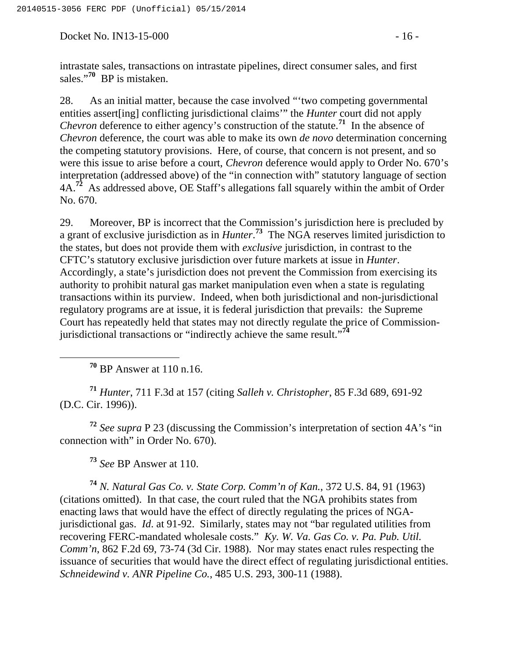Docket No. IN13-15-000 - 16 -

intrastate sales, transactions on intrastate pipelines, direct consumer sales, and first sales."**<sup>70</sup>** BP is mistaken.

28. As an initial matter, because the case involved "'two competing governmental entities assert[ing] conflicting jurisdictional claims'" the *Hunter* court did not apply *Chevron* deference to either agency's construction of the statute.<sup>71</sup> In the absence of *Chevron* deference, the court was able to make its own *de novo* determination concerning the competing statutory provisions. Here, of course, that concern is not present, and so were this issue to arise before a court, *Chevron* deference would apply to Order No. 670's interpretation (addressed above) of the "in connection with" statutory language of section 4A.**<sup>72</sup>** As addressed above, OE Staff's allegations fall squarely within the ambit of Order No. 670.

29. Moreover, BP is incorrect that the Commission's jurisdiction here is precluded by a grant of exclusive jurisdiction as in *Hunter*. **<sup>73</sup>** The NGA reserves limited jurisdiction to the states, but does not provide them with *exclusive* jurisdiction, in contrast to the CFTC's statutory exclusive jurisdiction over future markets at issue in *Hunter*. Accordingly, a state's jurisdiction does not prevent the Commission from exercising its authority to prohibit natural gas market manipulation even when a state is regulating transactions within its purview. Indeed, when both jurisdictional and non-jurisdictional regulatory programs are at issue, it is federal jurisdiction that prevails: the Supreme Court has repeatedly held that states may not directly regulate the price of Commissionjurisdictional transactions or "indirectly achieve the same result."**<sup>74</sup>**

**<sup>70</sup>** BP Answer at 110 n.16.

**<sup>71</sup>** *Hunter*, 711 F.3d at 157 (citing *Salleh v. Christopher*, 85 F.3d 689, 691-92 (D.C. Cir. 1996)).

**<sup>72</sup>** *See supra* P 23 (discussing the Commission's interpretation of section 4A's "in connection with" in Order No. 670).

**<sup>73</sup>** *See* BP Answer at 110.

**<sup>74</sup>** *N. Natural Gas Co. v. State Corp. Comm'n of Kan.*, 372 U.S. 84, 91 (1963) (citations omitted). In that case, the court ruled that the NGA prohibits states from enacting laws that would have the effect of directly regulating the prices of NGAjurisdictional gas. *Id*. at 91-92. Similarly, states may not "bar regulated utilities from recovering FERC-mandated wholesale costs." *Ky. W. Va. Gas Co. v. Pa. Pub. Util. Comm'n*, 862 F.2d 69, 73-74 (3d Cir. 1988). Nor may states enact rules respecting the issuance of securities that would have the direct effect of regulating jurisdictional entities. *Schneidewind v. ANR Pipeline Co.*, 485 U.S. 293, 300-11 (1988).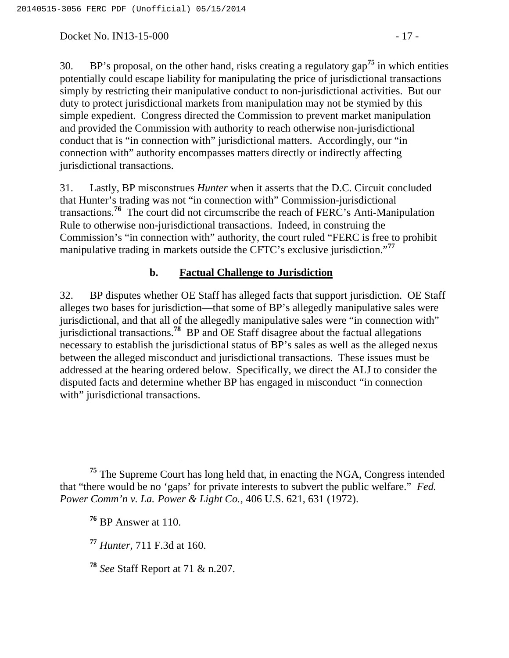Docket No. IN13-15-000 - 17 -

30. BP's proposal, on the other hand, risks creating a regulatory gap**<sup>75</sup>** in which entities potentially could escape liability for manipulating the price of jurisdictional transactions simply by restricting their manipulative conduct to non-jurisdictional activities. But our duty to protect jurisdictional markets from manipulation may not be stymied by this simple expedient. Congress directed the Commission to prevent market manipulation and provided the Commission with authority to reach otherwise non-jurisdictional conduct that is "in connection with" jurisdictional matters. Accordingly, our "in connection with" authority encompasses matters directly or indirectly affecting jurisdictional transactions.

31. Lastly, BP misconstrues *Hunter* when it asserts that the D.C. Circuit concluded that Hunter's trading was not "in connection with" Commission-jurisdictional transactions.**<sup>76</sup>** The court did not circumscribe the reach of FERC's Anti-Manipulation Rule to otherwise non-jurisdictional transactions. Indeed, in construing the Commission's "in connection with" authority, the court ruled "FERC is free to prohibit manipulative trading in markets outside the CFTC's exclusive jurisdiction."**<sup>77</sup>**

## **b. Factual Challenge to Jurisdiction**

32. BP disputes whether OE Staff has alleged facts that support jurisdiction. OE Staff alleges two bases for jurisdiction—that some of BP's allegedly manipulative sales were jurisdictional, and that all of the allegedly manipulative sales were "in connection with" jurisdictional transactions.**<sup>78</sup>** BP and OE Staff disagree about the factual allegations necessary to establish the jurisdictional status of BP's sales as well as the alleged nexus between the alleged misconduct and jurisdictional transactions. These issues must be addressed at the hearing ordered below. Specifically, we direct the ALJ to consider the disputed facts and determine whether BP has engaged in misconduct "in connection with" jurisdictional transactions.

**<sup>77</sup>** *Hunter*, 711 F.3d at 160.

**<sup>78</sup>** *See* Staff Report at 71 & n.207.

**<sup>75</sup>** The Supreme Court has long held that, in enacting the NGA, Congress intended that "there would be no 'gaps' for private interests to subvert the public welfare." *Fed. Power Comm'n v. La. Power & Light Co.*, 406 U.S. 621, 631 (1972).

**<sup>76</sup>** BP Answer at 110.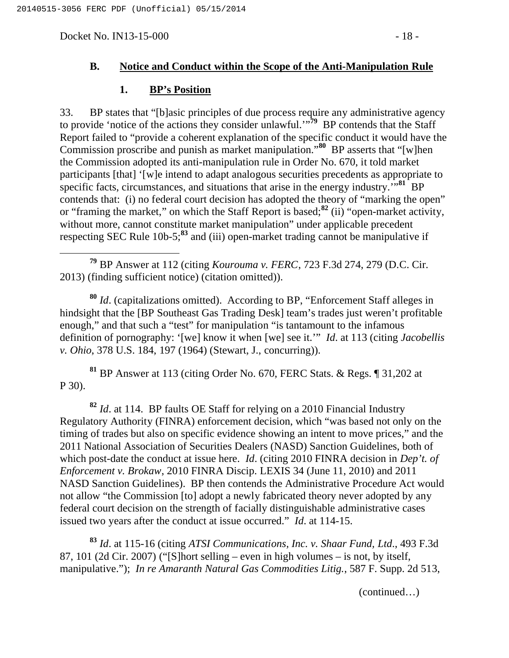Docket No. IN13-15-000 - 18 -

### **B. Notice and Conduct within the Scope of the Anti-Manipulation Rule**

#### **1. BP's Position**

33. BP states that "[b]asic principles of due process require any administrative agency to provide 'notice of the actions they consider unlawful.'"**<sup>79</sup>** BP contends that the Staff Report failed to "provide a coherent explanation of the specific conduct it would have the Commission proscribe and punish as market manipulation."**<sup>80</sup>** BP asserts that "[w]hen the Commission adopted its anti-manipulation rule in Order No. 670, it told market participants [that] '[w]e intend to adapt analogous securities precedents as appropriate to specific facts, circumstances, and situations that arise in the energy industry.'"**<sup>81</sup>** BP contends that: (i) no federal court decision has adopted the theory of "marking the open" or "framing the market," on which the Staff Report is based;**<sup>82</sup>** (ii) "open-market activity, without more, cannot constitute market manipulation" under applicable precedent respecting SEC Rule 10b-5;**<sup>83</sup>** and (iii) open-market trading cannot be manipulative if

 **<sup>79</sup>** BP Answer at 112 (citing *Kourouma v. FERC*, 723 F.3d 274, 279 (D.C. Cir. 2013) (finding sufficient notice) (citation omitted)).

**<sup>80</sup>** *Id*. (capitalizations omitted). According to BP, "Enforcement Staff alleges in hindsight that the [BP Southeast Gas Trading Desk] team's trades just weren't profitable enough," and that such a "test" for manipulation "is tantamount to the infamous definition of pornography: '[we] know it when [we] see it.'" *Id*. at 113 (citing *Jacobellis v. Ohio*, 378 U.S. 184, 197 (1964) (Stewart, J., concurring)).

**<sup>81</sup>** BP Answer at 113 (citing Order No. 670, FERC Stats. & Regs. ¶ 31,202 at P 30).

**<sup>82</sup>** *Id*. at 114. BP faults OE Staff for relying on a 2010 Financial Industry Regulatory Authority (FINRA) enforcement decision, which "was based not only on the timing of trades but also on specific evidence showing an intent to move prices," and the 2011 National Association of Securities Dealers (NASD) Sanction Guidelines, both of which post-date the conduct at issue here. *Id*. (citing 2010 FINRA decision in *Dep't. of Enforcement v. Brokaw*, 2010 FINRA Discip. LEXIS 34 (June 11, 2010) and 2011 NASD Sanction Guidelines). BP then contends the Administrative Procedure Act would not allow "the Commission [to] adopt a newly fabricated theory never adopted by any federal court decision on the strength of facially distinguishable administrative cases issued two years after the conduct at issue occurred." *Id*. at 114-15.

**<sup>83</sup>** *Id*. at 115-16 (citing *ATSI Communications, Inc. v. Shaar Fund, Ltd*., 493 F.3d 87, 101 (2d Cir. 2007) ("[S]hort selling – even in high volumes – is not, by itself, manipulative."); *In re Amaranth Natural Gas Commodities Litig.*, 587 F. Supp. 2d 513,

(continued…)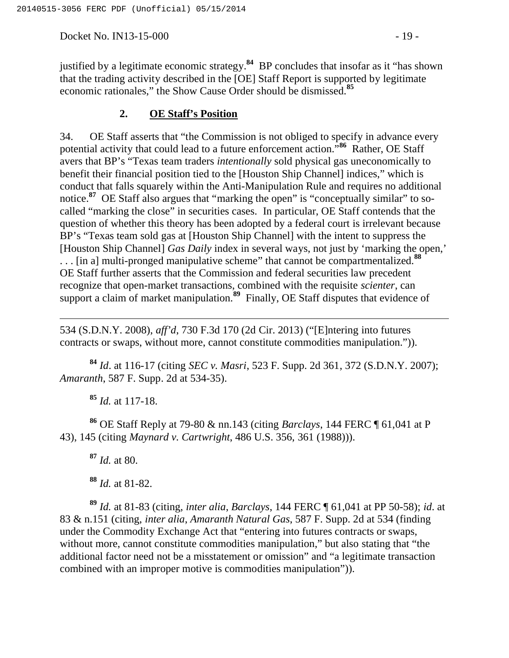Docket No. IN13-15-000 - 19 -

justified by a legitimate economic strategy.**<sup>84</sup>** BP concludes that insofar as it "has shown that the trading activity described in the [OE] Staff Report is supported by legitimate economic rationales," the Show Cause Order should be dismissed.**<sup>85</sup>**

### **2. OE Staff's Position**

34. OE Staff asserts that "the Commission is not obliged to specify in advance every potential activity that could lead to a future enforcement action."**<sup>86</sup>** Rather, OE Staff avers that BP's "Texas team traders *intentionally* sold physical gas uneconomically to benefit their financial position tied to the [Houston Ship Channel] indices," which is conduct that falls squarely within the Anti-Manipulation Rule and requires no additional notice.<sup>87</sup> OE Staff also argues that "marking the open" is "conceptually similar" to socalled "marking the close" in securities cases. In particular, OE Staff contends that the question of whether this theory has been adopted by a federal court is irrelevant because BP's "Texas team sold gas at [Houston Ship Channel] with the intent to suppress the [Houston Ship Channel] *Gas Daily* index in several ways, not just by 'marking the open,' . . . [in a] multi-pronged manipulative scheme" that cannot be compartmentalized.**<sup>88</sup>** OE Staff further asserts that the Commission and federal securities law precedent recognize that open-market transactions, combined with the requisite *scienter*, can support a claim of market manipulation.<sup>89</sup> Finally, OE Staff disputes that evidence of

534 (S.D.N.Y. 2008), *aff'd*, 730 F.3d 170 (2d Cir. 2013) ("[E]ntering into futures contracts or swaps, without more, cannot constitute commodities manipulation.")).

**<sup>84</sup>** *Id*. at 116-17 (citing *SEC v. Masri*, 523 F. Supp. 2d 361, 372 (S.D.N.Y. 2007); *Amaranth*, 587 F. Supp. 2d at 534-35).

**<sup>85</sup>** *Id.* at 117-18.

 $\overline{a}$ 

**<sup>86</sup>** OE Staff Reply at 79-80 & nn.143 (citing *Barclays*, 144 FERC ¶ 61,041 at P 43), 145 (citing *Maynard v. Cartwright*, 486 U.S. 356, 361 (1988))).

**<sup>87</sup>** *Id.* at 80.

**<sup>88</sup>** *Id.* at 81-82.

**<sup>89</sup>** *Id.* at 81-83 (citing, *inter alia*, *Barclays*, 144 FERC ¶ 61,041 at PP 50-58); *id*. at 83 & n.151 (citing, *inter alia*, *Amaranth Natural Gas*, 587 F. Supp. 2d at 534 (finding under the Commodity Exchange Act that "entering into futures contracts or swaps, without more, cannot constitute commodities manipulation," but also stating that "the additional factor need not be a misstatement or omission" and "a legitimate transaction combined with an improper motive is commodities manipulation")).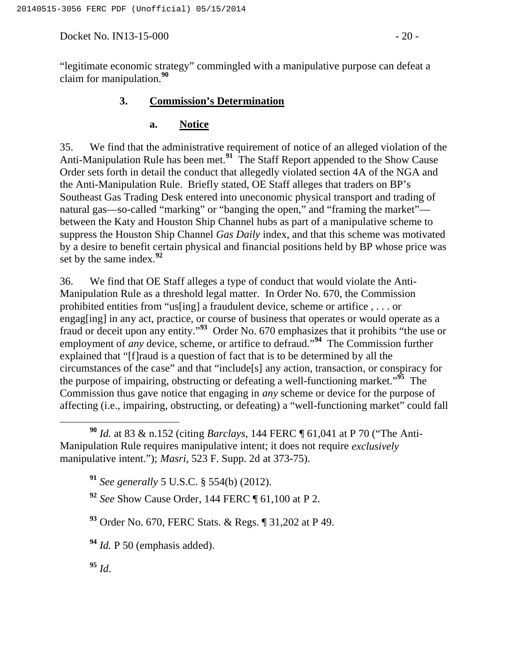Docket No. IN13-15-000 - 20 -

"legitimate economic strategy" commingled with a manipulative purpose can defeat a claim for manipulation.**<sup>90</sup>**

# **3. Commission's Determination**

### **a. Notice**

35. We find that the administrative requirement of notice of an alleged violation of the Anti-Manipulation Rule has been met.**<sup>91</sup>** The Staff Report appended to the Show Cause Order sets forth in detail the conduct that allegedly violated section 4A of the NGA and the Anti-Manipulation Rule. Briefly stated, OE Staff alleges that traders on BP's Southeast Gas Trading Desk entered into uneconomic physical transport and trading of natural gas—so-called "marking" or "banging the open," and "framing the market" between the Katy and Houston Ship Channel hubs as part of a manipulative scheme to suppress the Houston Ship Channel *Gas Daily* index, and that this scheme was motivated by a desire to benefit certain physical and financial positions held by BP whose price was set by the same index.**<sup>92</sup>**

36. We find that OE Staff alleges a type of conduct that would violate the Anti-Manipulation Rule as a threshold legal matter. In Order No. 670, the Commission prohibited entities from "us[ing] a fraudulent device, scheme or artifice , . . . or engag[ing] in any act, practice, or course of business that operates or would operate as a fraud or deceit upon any entity."**<sup>93</sup>** Order No. 670 emphasizes that it prohibits "the use or employment of *any* device, scheme, or artifice to defraud."**<sup>94</sup>** The Commission further explained that "[f]raud is a question of fact that is to be determined by all the circumstances of the case" and that "include[s] any action, transaction, or conspiracy for the purpose of impairing, obstructing or defeating a well-functioning market."**<sup>95</sup>** The Commission thus gave notice that engaging in *any* scheme or device for the purpose of affecting (i.e., impairing, obstructing, or defeating) a "well-functioning market" could fall

**<sup>95</sup>** *Id*.

**<sup>90</sup>** *Id.* at 83 & n.152 (citing *Barclays*, 144 FERC ¶ 61,041 at P 70 ("The Anti-Manipulation Rule requires manipulative intent; it does not require *exclusively*  manipulative intent."); *Masri*, 523 F. Supp. 2d at 373-75).

**<sup>91</sup>** *See generally* 5 U.S.C. § 554(b) (2012).

**<sup>92</sup>** *See* Show Cause Order, 144 FERC ¶ 61,100 at P 2.

**<sup>93</sup>** Order No. 670, FERC Stats. & Regs. ¶ 31,202 at P 49.

**<sup>94</sup>** *Id.* P 50 (emphasis added).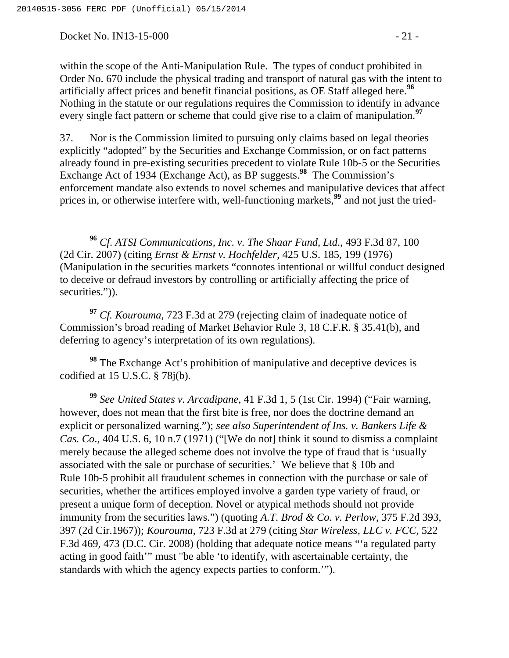Docket No. IN13-15-000 - 21 -

within the scope of the Anti-Manipulation Rule. The types of conduct prohibited in Order No. 670 include the physical trading and transport of natural gas with the intent to artificially affect prices and benefit financial positions, as OE Staff alleged here.**<sup>96</sup>** Nothing in the statute or our regulations requires the Commission to identify in advance every single fact pattern or scheme that could give rise to a claim of manipulation.**<sup>97</sup>**

37. Nor is the Commission limited to pursuing only claims based on legal theories explicitly "adopted" by the Securities and Exchange Commission, or on fact patterns already found in pre-existing securities precedent to violate Rule 10b-5 or the Securities Exchange Act of 1934 (Exchange Act), as BP suggests.**<sup>98</sup>** The Commission's enforcement mandate also extends to novel schemes and manipulative devices that affect prices in, or otherwise interfere with, well-functioning markets,**<sup>99</sup>** and not just the tried-

 **<sup>96</sup>** *Cf*. *ATSI Communications, Inc. v. The Shaar Fund, Ltd*., 493 F.3d 87, 100 (2d Cir. 2007) (citing *Ernst & Ernst v. Hochfelder*, 425 U.S. 185, 199 (1976) (Manipulation in the securities markets "connotes intentional or willful conduct designed to deceive or defraud investors by controlling or artificially affecting the price of securities.")).

**<sup>97</sup>** *Cf. Kourouma*, 723 F.3d at 279 (rejecting claim of inadequate notice of Commission's broad reading of Market Behavior Rule 3, 18 C.F.R. § 35.41(b), and deferring to agency's interpretation of its own regulations).

<sup>98</sup> The Exchange Act's prohibition of manipulative and deceptive devices is codified at 15 U.S.C. § 78j(b).

**<sup>99</sup>** *See United States v. Arcadipane*, 41 F.3d 1, 5 (1st Cir. 1994) ("Fair warning, however, does not mean that the first bite is free, nor does the doctrine demand an explicit or personalized warning."); *see also Superintendent of Ins. v. Bankers Life & Cas. Co*., 404 U.S. 6, 10 n.7 (1971) ("[We do not] think it sound to dismiss a complaint merely because the alleged scheme does not involve the type of fraud that is 'usually associated with the sale or purchase of securities.' We believe that § 10b and Rule 10b-5 prohibit all fraudulent schemes in connection with the purchase or sale of securities, whether the artifices employed involve a garden type variety of fraud, or present a unique form of deception. Novel or atypical methods should not provide immunity from the securities laws.") (quoting *A.T. Brod & Co. v. Perlow*, 375 F.2d 393, 397 (2d Cir.1967)); *Kourouma*, 723 F.3d at 279 (citing *Star Wireless, LLC v. FCC*, 522 F.3d 469, 473 (D.C. Cir. 2008) (holding that adequate notice means "'a regulated party acting in good faith'" must "be able 'to identify, with ascertainable certainty, the standards with which the agency expects parties to conform.'").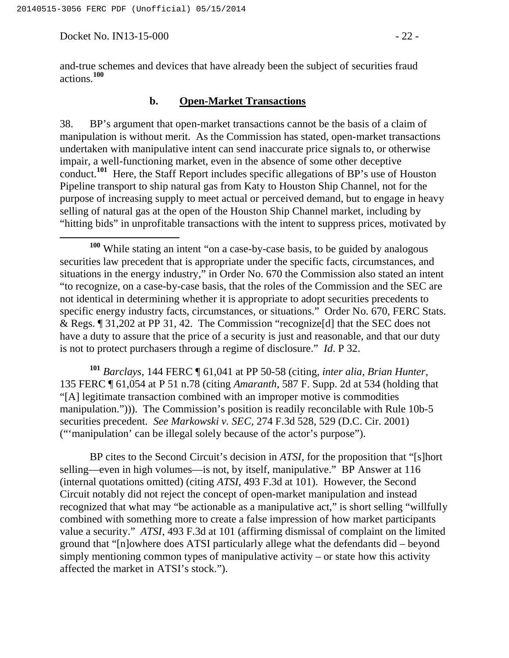Docket No. IN13-15-000 - 22 -

and-true schemes and devices that have already been the subject of securities fraud actions.**<sup>100</sup>**

#### **b. Open-Market Transactions**

38. BP's argument that open-market transactions cannot be the basis of a claim of manipulation is without merit. As the Commission has stated, open-market transactions undertaken with manipulative intent can send inaccurate price signals to, or otherwise impair, a well-functioning market, even in the absence of some other deceptive conduct.**<sup>101</sup>** Here, the Staff Report includes specific allegations of BP's use of Houston Pipeline transport to ship natural gas from Katy to Houston Ship Channel, not for the purpose of increasing supply to meet actual or perceived demand, but to engage in heavy selling of natural gas at the open of the Houston Ship Channel market, including by "hitting bids" in unprofitable transactions with the intent to suppress prices, motivated by

**<sup>101</sup>** *Barclays*, 144 FERC ¶ 61,041 at PP 50-58 (citing, *inter alia*, *Brian Hunter*, 135 FERC ¶ 61,054 at P 51 n.78 (citing *Amaranth*, 587 F. Supp. 2d at 534 (holding that "[A] legitimate transaction combined with an improper motive is commodities manipulation."))). The Commission's position is readily reconcilable with Rule 10b-5 securities precedent. *See Markowski v. SEC*, 274 F.3d 528, 529 (D.C. Cir. 2001) ("'manipulation' can be illegal solely because of the actor's purpose").

BP cites to the Second Circuit's decision in *ATSI*, for the proposition that "[s]hort selling—even in high volumes—is not, by itself, manipulative." BP Answer at 116 (internal quotations omitted) (citing *ATSI*, 493 F.3d at 101). However, the Second Circuit notably did not reject the concept of open-market manipulation and instead recognized that what may "be actionable as a manipulative act," is short selling "willfully combined with something more to create a false impression of how market participants value a security." *ATSI*, 493 F.3d at 101 (affirming dismissal of complaint on the limited ground that "[n]owhere does ATSI particularly allege what the defendants did – beyond simply mentioning common types of manipulative activity – or state how this activity affected the market in ATSI's stock.").

**<sup>100</sup>** While stating an intent "on a case-by-case basis, to be guided by analogous securities law precedent that is appropriate under the specific facts, circumstances, and situations in the energy industry," in Order No. 670 the Commission also stated an intent "to recognize, on a case-by-case basis, that the roles of the Commission and the SEC are not identical in determining whether it is appropriate to adopt securities precedents to specific energy industry facts, circumstances, or situations." Order No. 670, FERC Stats. & Regs. ¶ 31,202 at PP 31, 42. The Commission "recognize[d] that the SEC does not have a duty to assure that the price of a security is just and reasonable, and that our duty is not to protect purchasers through a regime of disclosure." *Id*. P 32.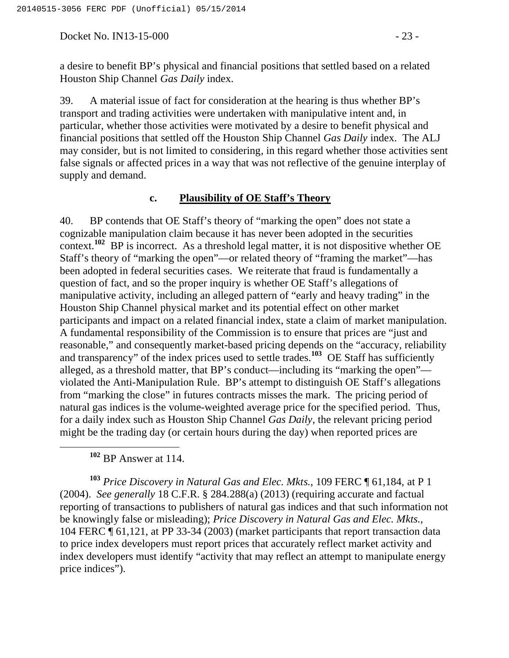Docket No. IN13-15-000 - 23 -

a desire to benefit BP's physical and financial positions that settled based on a related Houston Ship Channel *Gas Daily* index.

39. A material issue of fact for consideration at the hearing is thus whether BP's transport and trading activities were undertaken with manipulative intent and, in particular, whether those activities were motivated by a desire to benefit physical and financial positions that settled off the Houston Ship Channel *Gas Daily* index. The ALJ may consider, but is not limited to considering, in this regard whether those activities sent false signals or affected prices in a way that was not reflective of the genuine interplay of supply and demand.

### **c. Plausibility of OE Staff's Theory**

40. BP contends that OE Staff's theory of "marking the open" does not state a cognizable manipulation claim because it has never been adopted in the securities context.**<sup>102</sup>** BP is incorrect. As a threshold legal matter, it is not dispositive whether OE Staff's theory of "marking the open"—or related theory of "framing the market"—has been adopted in federal securities cases. We reiterate that fraud is fundamentally a question of fact, and so the proper inquiry is whether OE Staff's allegations of manipulative activity, including an alleged pattern of "early and heavy trading" in the Houston Ship Channel physical market and its potential effect on other market participants and impact on a related financial index, state a claim of market manipulation. A fundamental responsibility of the Commission is to ensure that prices are "just and reasonable," and consequently market-based pricing depends on the "accuracy, reliability and transparency" of the index prices used to settle trades.**<sup>103</sup>** OE Staff has sufficiently alleged, as a threshold matter, that BP's conduct—including its "marking the open" violated the Anti-Manipulation Rule. BP's attempt to distinguish OE Staff's allegations from "marking the close" in futures contracts misses the mark. The pricing period of natural gas indices is the volume-weighted average price for the specified period. Thus, for a daily index such as Houston Ship Channel *Gas Daily*, the relevant pricing period might be the trading day (or certain hours during the day) when reported prices are

**<sup>102</sup>** BP Answer at 114.

**<sup>103</sup>** *Price Discovery in Natural Gas and Elec. Mkts.*, 109 FERC ¶ 61,184, at P 1 (2004). *See generally* 18 C.F.R. § 284.288(a) (2013) (requiring accurate and factual reporting of transactions to publishers of natural gas indices and that such information not be knowingly false or misleading); *Price Discovery in Natural Gas and Elec. Mkts.*, 104 FERC ¶ 61,121, at PP 33-34 (2003) (market participants that report transaction data to price index developers must report prices that accurately reflect market activity and index developers must identify "activity that may reflect an attempt to manipulate energy price indices").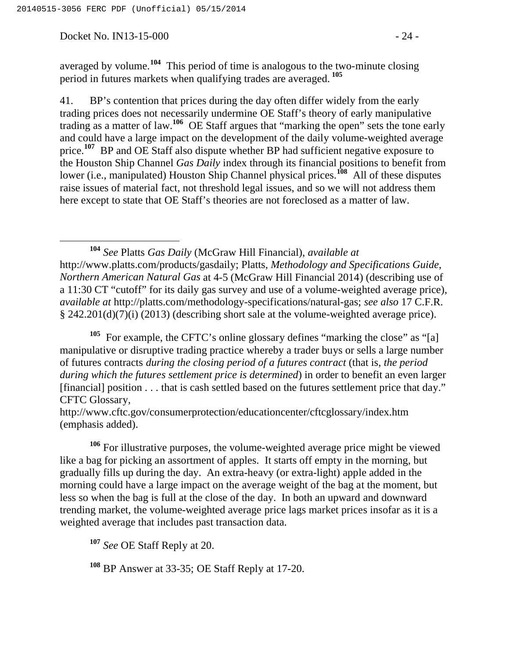Docket No. IN13-15-000 - 24 -

averaged by volume.**<sup>104</sup>** This period of time is analogous to the two-minute closing period in futures markets when qualifying trades are averaged. **<sup>105</sup>**

41. BP's contention that prices during the day often differ widely from the early trading prices does not necessarily undermine OE Staff's theory of early manipulative trading as a matter of law.**<sup>106</sup>** OE Staff argues that "marking the open" sets the tone early and could have a large impact on the development of the daily volume-weighted average price.<sup>107</sup> BP and OE Staff also dispute whether BP had sufficient negative exposure to the Houston Ship Channel *Gas Daily* index through its financial positions to benefit from lower (i.e., manipulated) Houston Ship Channel physical prices.<sup>108</sup> All of these disputes raise issues of material fact, not threshold legal issues, and so we will not address them here except to state that OE Staff's theories are not foreclosed as a matter of law.

 **<sup>104</sup>** *See* Platts *Gas Daily* (McGraw Hill Financial), *available at* http://www.platts.com/products/gasdaily; Platts, *Methodology and Specifications Guide, Northern American Natural Gas* at 4-5 (McGraw Hill Financial 2014) (describing use of a 11:30 CT "cutoff" for its daily gas survey and use of a volume-weighted average price), *available at* http://platts.com/methodology-specifications/natural-gas; *see also* 17 C.F.R. § 242.201(d)(7)(i) (2013) (describing short sale at the volume-weighted average price).

<sup>105</sup> For example, the CFTC's online glossary defines "marking the close" as "[a] manipulative or disruptive trading practice whereby a trader buys or sells a large number of futures contracts *during the closing period of a futures contract* (that is, *the period during which the futures settlement price is determined*) in order to benefit an even larger [financial] position . . . that is cash settled based on the futures settlement price that day." CFTC Glossary,

http://www.cftc.gov/consumerprotection/educationcenter/cftcglossary/index.htm (emphasis added).

**<sup>106</sup>** For illustrative purposes, the volume-weighted average price might be viewed like a bag for picking an assortment of apples. It starts off empty in the morning, but gradually fills up during the day. An extra-heavy (or extra-light) apple added in the morning could have a large impact on the average weight of the bag at the moment, but less so when the bag is full at the close of the day. In both an upward and downward trending market, the volume-weighted average price lags market prices insofar as it is a weighted average that includes past transaction data.

**<sup>107</sup>** *See* OE Staff Reply at 20.

**<sup>108</sup>** BP Answer at 33-35; OE Staff Reply at 17-20.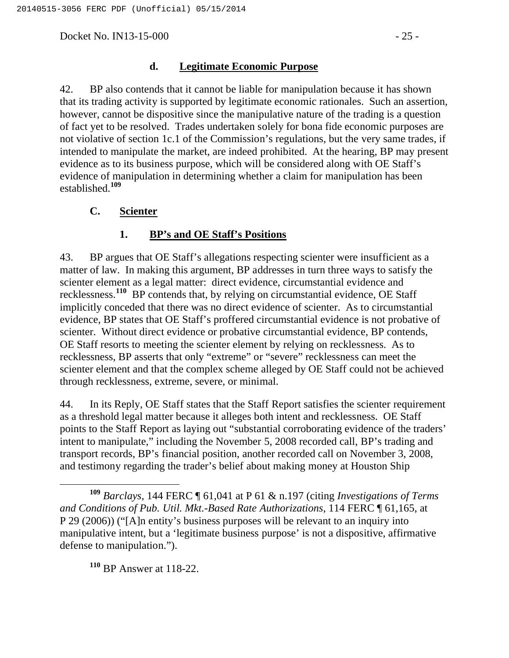Docket No. IN13-15-000 - 25 -

### **d. Legitimate Economic Purpose**

42. BP also contends that it cannot be liable for manipulation because it has shown that its trading activity is supported by legitimate economic rationales. Such an assertion, however, cannot be dispositive since the manipulative nature of the trading is a question of fact yet to be resolved. Trades undertaken solely for bona fide economic purposes are not violative of section 1c.1 of the Commission's regulations, but the very same trades, if intended to manipulate the market, are indeed prohibited. At the hearing, BP may present evidence as to its business purpose, which will be considered along with OE Staff's evidence of manipulation in determining whether a claim for manipulation has been established.**<sup>109</sup>**

## **C. Scienter**

# **1. BP's and OE Staff's Positions**

43. BP argues that OE Staff's allegations respecting scienter were insufficient as a matter of law. In making this argument, BP addresses in turn three ways to satisfy the scienter element as a legal matter: direct evidence, circumstantial evidence and recklessness.**<sup>110</sup>** BP contends that, by relying on circumstantial evidence, OE Staff implicitly conceded that there was no direct evidence of scienter. As to circumstantial evidence, BP states that OE Staff's proffered circumstantial evidence is not probative of scienter. Without direct evidence or probative circumstantial evidence, BP contends, OE Staff resorts to meeting the scienter element by relying on recklessness. As to recklessness, BP asserts that only "extreme" or "severe" recklessness can meet the scienter element and that the complex scheme alleged by OE Staff could not be achieved through recklessness, extreme, severe, or minimal.

44. In its Reply, OE Staff states that the Staff Report satisfies the scienter requirement as a threshold legal matter because it alleges both intent and recklessness. OE Staff points to the Staff Report as laying out "substantial corroborating evidence of the traders' intent to manipulate," including the November 5, 2008 recorded call, BP's trading and transport records, BP's financial position, another recorded call on November 3, 2008, and testimony regarding the trader's belief about making money at Houston Ship

**<sup>110</sup>** BP Answer at 118-22.

**<sup>109</sup>** *Barclays*, 144 FERC ¶ 61,041 at P 61 & n.197 (citing *Investigations of Terms and Conditions of Pub. Util. Mkt.-Based Rate Authorizations*, 114 FERC ¶ 61,165, at P 29 (2006)) ("[A]n entity's business purposes will be relevant to an inquiry into manipulative intent, but a 'legitimate business purpose' is not a dispositive, affirmative defense to manipulation.").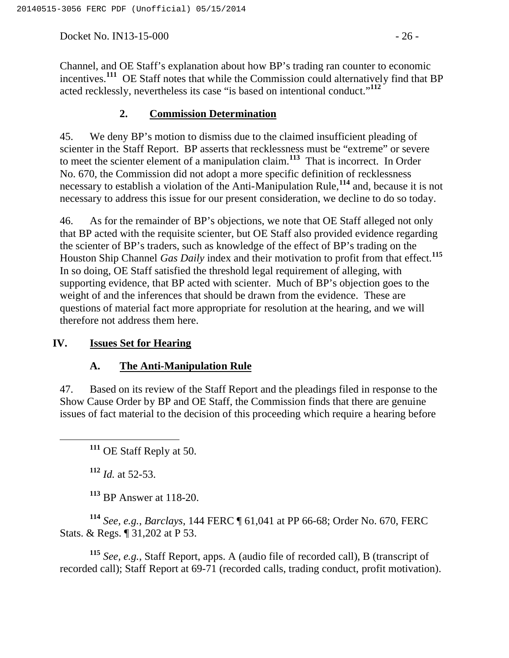Docket No. IN13-15-000 - 26 -

Channel, and OE Staff's explanation about how BP's trading ran counter to economic incentives.**<sup>111</sup>** OE Staff notes that while the Commission could alternatively find that BP acted recklessly, nevertheless its case "is based on intentional conduct."**<sup>112</sup>**

# **2. Commission Determination**

45. We deny BP's motion to dismiss due to the claimed insufficient pleading of scienter in the Staff Report. BP asserts that recklessness must be "extreme" or severe to meet the scienter element of a manipulation claim.**<sup>113</sup>** That is incorrect. In Order No. 670, the Commission did not adopt a more specific definition of recklessness necessary to establish a violation of the Anti-Manipulation Rule,**<sup>114</sup>** and, because it is not necessary to address this issue for our present consideration, we decline to do so today.

46. As for the remainder of BP's objections, we note that OE Staff alleged not only that BP acted with the requisite scienter, but OE Staff also provided evidence regarding the scienter of BP's traders, such as knowledge of the effect of BP's trading on the Houston Ship Channel *Gas Daily* index and their motivation to profit from that effect.**<sup>115</sup>** In so doing, OE Staff satisfied the threshold legal requirement of alleging, with supporting evidence, that BP acted with scienter. Much of BP's objection goes to the weight of and the inferences that should be drawn from the evidence. These are questions of material fact more appropriate for resolution at the hearing, and we will therefore not address them here.

## **IV. Issues Set for Hearing**

## **A. The Anti-Manipulation Rule**

47. Based on its review of the Staff Report and the pleadings filed in response to the Show Cause Order by BP and OE Staff, the Commission finds that there are genuine issues of fact material to the decision of this proceeding which require a hearing before

**<sup>111</sup>** OE Staff Reply at 50.

**<sup>112</sup>** *Id.* at 52-53.

**<sup>113</sup>** BP Answer at 118-20.

**<sup>114</sup>** *See, e.g.*, *Barclays*, 144 FERC ¶ 61,041 at PP 66-68; Order No. 670, FERC Stats. & Regs. ¶ 31,202 at P 53.

**<sup>115</sup>** *See, e.g.*, Staff Report, apps. A (audio file of recorded call), B (transcript of recorded call); Staff Report at 69-71 (recorded calls, trading conduct, profit motivation).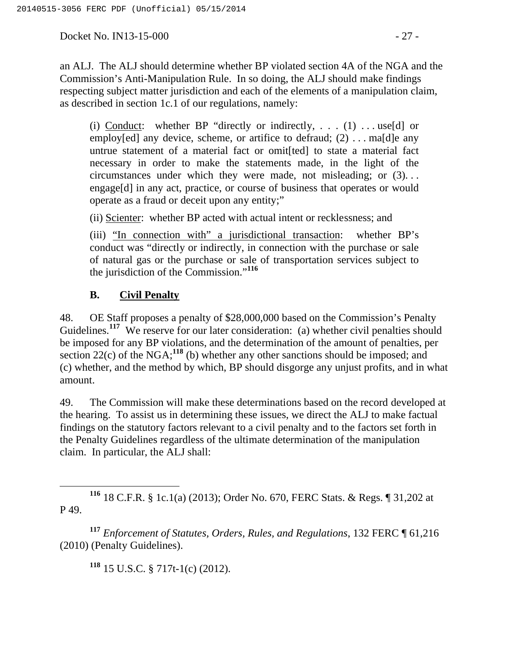Docket No. IN13-15-000 - 27 -

an ALJ. The ALJ should determine whether BP violated section 4A of the NGA and the Commission's Anti-Manipulation Rule. In so doing, the ALJ should make findings respecting subject matter jurisdiction and each of the elements of a manipulation claim, as described in section 1c.1 of our regulations, namely:

(i) Conduct: whether BP "directly or indirectly, ...  $(1)$ ... use[d] or employ[ed] any device, scheme, or artifice to defraud; (2) ... ma[d]e any untrue statement of a material fact or omit[ted] to state a material fact necessary in order to make the statements made, in the light of the circumstances under which they were made, not misleading; or (3). . . engage[d] in any act, practice, or course of business that operates or would operate as a fraud or deceit upon any entity;"

(ii) Scienter: whether BP acted with actual intent or recklessness; and

(iii) "In connection with" a jurisdictional transaction: whether BP's conduct was "directly or indirectly, in connection with the purchase or sale of natural gas or the purchase or sale of transportation services subject to the jurisdiction of the Commission."**<sup>116</sup>**

# **B. Civil Penalty**

48. OE Staff proposes a penalty of \$28,000,000 based on the Commission's Penalty Guidelines.<sup>117</sup> We reserve for our later consideration: (a) whether civil penalties should be imposed for any BP violations, and the determination of the amount of penalties, per section 22(c) of the NGA;<sup>118</sup> (b) whether any other sanctions should be imposed; and (c) whether, and the method by which, BP should disgorge any unjust profits, and in what amount.

49. The Commission will make these determinations based on the record developed at the hearing. To assist us in determining these issues, we direct the ALJ to make factual findings on the statutory factors relevant to a civil penalty and to the factors set forth in the Penalty Guidelines regardless of the ultimate determination of the manipulation claim. In particular, the ALJ shall:

 **<sup>116</sup>** 18 C.F.R. § 1c.1(a) (2013); Order No. 670, FERC Stats. & Regs. ¶ 31,202 at P 49.

**<sup>117</sup>** *Enforcement of Statutes, Orders, Rules, and Regulations*, 132 FERC ¶ 61,216 (2010) (Penalty Guidelines).

**<sup>118</sup>** 15 U.S.C. § 717t-1(c) (2012).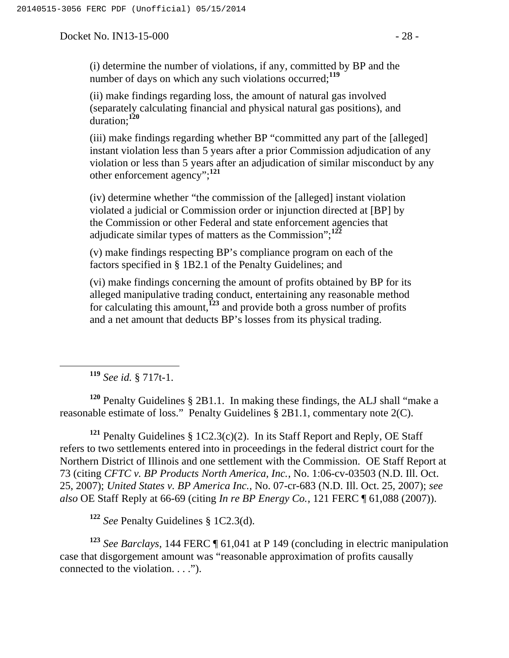Docket No. IN13-15-000 - 28 -

(i) determine the number of violations, if any, committed by BP and the number of days on which any such violations occurred;**<sup>119</sup>**

(ii) make findings regarding loss, the amount of natural gas involved (separately calculating financial and physical natural gas positions), and duration;**<sup>120</sup>**

(iii) make findings regarding whether BP "committed any part of the [alleged] instant violation less than 5 years after a prior Commission adjudication of any violation or less than 5 years after an adjudication of similar misconduct by any other enforcement agency";**<sup>121</sup>**

(iv) determine whether "the commission of the [alleged] instant violation violated a judicial or Commission order or injunction directed at [BP] by the Commission or other Federal and state enforcement agencies that adjudicate similar types of matters as the Commission";**<sup>122</sup>**

(v) make findings respecting BP's compliance program on each of the factors specified in § 1B2.1 of the Penalty Guidelines; and

(vi) make findings concerning the amount of profits obtained by BP for its alleged manipulative trading conduct, entertaining any reasonable method for calculating this amount,**<sup>123</sup>** and provide both a gross number of profits and a net amount that deducts BP's losses from its physical trading.

**<sup>119</sup>** *See id.* § 717t-1.

**<sup>120</sup>** Penalty Guidelines § 2B1.1. In making these findings, the ALJ shall "make a reasonable estimate of loss." Penalty Guidelines § 2B1.1, commentary note 2(C).

**<sup>121</sup>** Penalty Guidelines § 1C2.3(c)(2). In its Staff Report and Reply, OE Staff refers to two settlements entered into in proceedings in the federal district court for the Northern District of Illinois and one settlement with the Commission. OE Staff Report at 73 (citing *CFTC v. BP Products North America, Inc.*, No. 1:06-cv-03503 (N.D. Ill. Oct. 25, 2007); *United States v. BP America Inc.*, No. 07-cr-683 (N.D. Ill. Oct. 25, 2007); *see also* OE Staff Reply at 66-69 (citing *In re BP Energy Co.*, 121 FERC ¶ 61,088 (2007)).

**<sup>122</sup>** *See* Penalty Guidelines § 1C2.3(d).

**<sup>123</sup>** *See Barclays*, 144 FERC ¶ 61,041 at P 149 (concluding in electric manipulation case that disgorgement amount was "reasonable approximation of profits causally connected to the violation. . . .").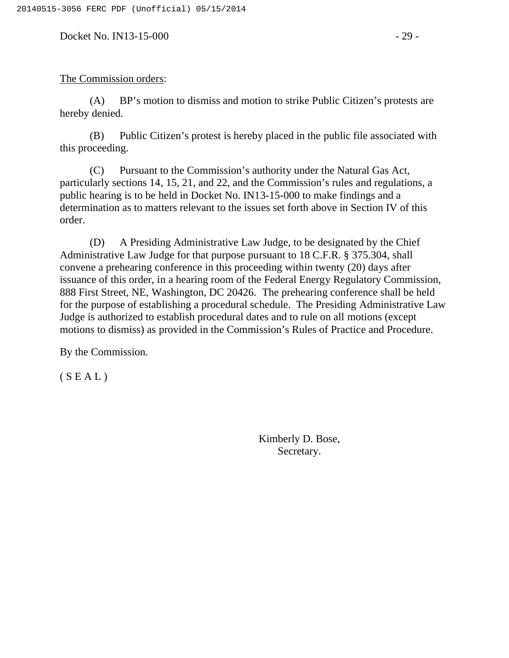Docket No. IN13-15-000 - 29 -

### The Commission orders:

(A) BP's motion to dismiss and motion to strike Public Citizen's protests are hereby denied.

(B) Public Citizen's protest is hereby placed in the public file associated with this proceeding.

(C) Pursuant to the Commission's authority under the Natural Gas Act, particularly sections 14, 15, 21, and 22, and the Commission's rules and regulations, a public hearing is to be held in Docket No. IN13-15-000 to make findings and a determination as to matters relevant to the issues set forth above in Section IV of this order.

(D) A Presiding Administrative Law Judge, to be designated by the Chief Administrative Law Judge for that purpose pursuant to 18 C.F.R. § 375.304, shall convene a prehearing conference in this proceeding within twenty (20) days after issuance of this order, in a hearing room of the Federal Energy Regulatory Commission, 888 First Street, NE, Washington, DC 20426. The prehearing conference shall be held for the purpose of establishing a procedural schedule. The Presiding Administrative Law Judge is authorized to establish procedural dates and to rule on all motions (except motions to dismiss) as provided in the Commission's Rules of Practice and Procedure.

By the Commission.

 $(S E A L)$ 

Kimberly D. Bose, Secretary.